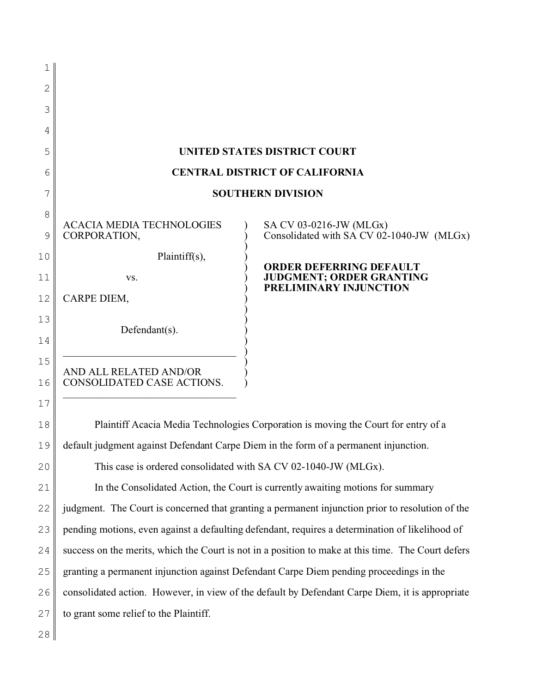| 1            |                                                                                                    |                                                                      |
|--------------|----------------------------------------------------------------------------------------------------|----------------------------------------------------------------------|
| $\mathbf{2}$ |                                                                                                    |                                                                      |
| 3            |                                                                                                    |                                                                      |
| 4            |                                                                                                    |                                                                      |
| 5            | <b>UNITED STATES DISTRICT COURT</b>                                                                |                                                                      |
| 6            | <b>CENTRAL DISTRICT OF CALIFORNIA</b>                                                              |                                                                      |
| 7            | <b>SOUTHERN DIVISION</b>                                                                           |                                                                      |
| 8            |                                                                                                    |                                                                      |
| 9            | <b>ACACIA MEDIA TECHNOLOGIES</b><br>CORPORATION,                                                   | SA CV 03-0216-JW (MLGx)<br>Consolidated with SA CV 02-1040-JW (MLGx) |
| 10           | Plaintiff(s),                                                                                      | <b>ORDER DEFERRING DEFAULT</b>                                       |
| 11           | VS.                                                                                                | <b>JUDGMENT; ORDER GRANTING</b><br>PRELIMINARY INJUNCTION            |
| 12           | CARPE DIEM,                                                                                        |                                                                      |
| 13           | Defendant(s).                                                                                      |                                                                      |
| 14           |                                                                                                    |                                                                      |
| 15           | AND ALL RELATED AND/OR<br>CONSOLIDATED CASE ACTIONS.                                               |                                                                      |
| 16           |                                                                                                    |                                                                      |
| 17           |                                                                                                    |                                                                      |
| 18           | Plaintiff Acacia Media Technologies Corporation is moving the Court for entry of a                 |                                                                      |
| 19           | default judgment against Defendant Carpe Diem in the form of a permanent injunction.               |                                                                      |
| 20           | This case is ordered consolidated with SA CV 02-1040-JW (MLGx).                                    |                                                                      |
| 21           | In the Consolidated Action, the Court is currently awaiting motions for summary                    |                                                                      |
| 22           | judgment. The Court is concerned that granting a permanent injunction prior to resolution of the   |                                                                      |
| 23           | pending motions, even against a defaulting defendant, requires a determination of likelihood of    |                                                                      |
| 24           | success on the merits, which the Court is not in a position to make at this time. The Court defers |                                                                      |
| 25           | granting a permanent injunction against Defendant Carpe Diem pending proceedings in the            |                                                                      |
| 26           | consolidated action. However, in view of the default by Defendant Carpe Diem, it is appropriate    |                                                                      |
| 27           | to grant some relief to the Plaintiff.                                                             |                                                                      |
|              |                                                                                                    |                                                                      |

28